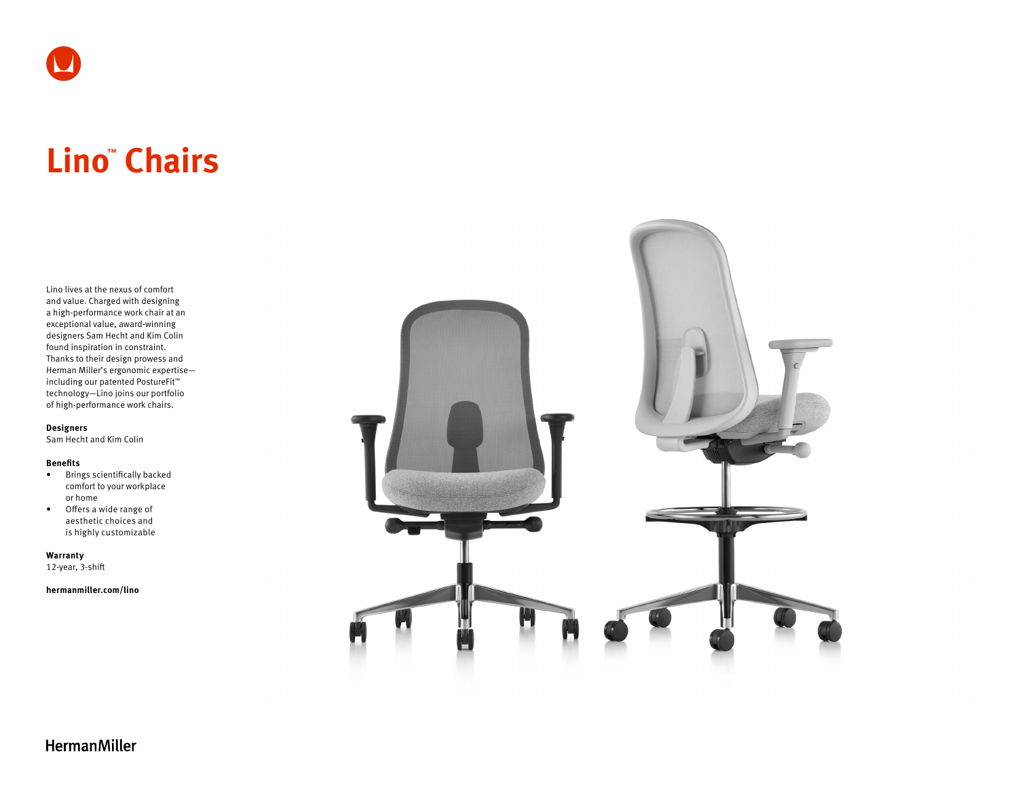

# **Lino™ Chairs**

Lino lives at the nexus of comfort and value. Charged with designing a high-performance work chair at an exceptional value, award-winning designers Sam Hecht and Kim Colin found inspiration in constraint. Thanks to their design prowess and Herman Miller's ergonomic expertise including our patented PostureFit™ technology—Lino joins our portfolio of high-performance work chairs.

**Designers**

Sam Hecht and Kim Colin

#### **Benefits**

- Brings scientifically backed comfort to your workplace or home
- Offers a wide range of aesthetic choices and is highly customizable

**Warranty**  12-year, 3-shift

**[hermanmiller.com/](https://www.hermanmiller.com/products/seating/office-chairs/lino-chairs/)lino**